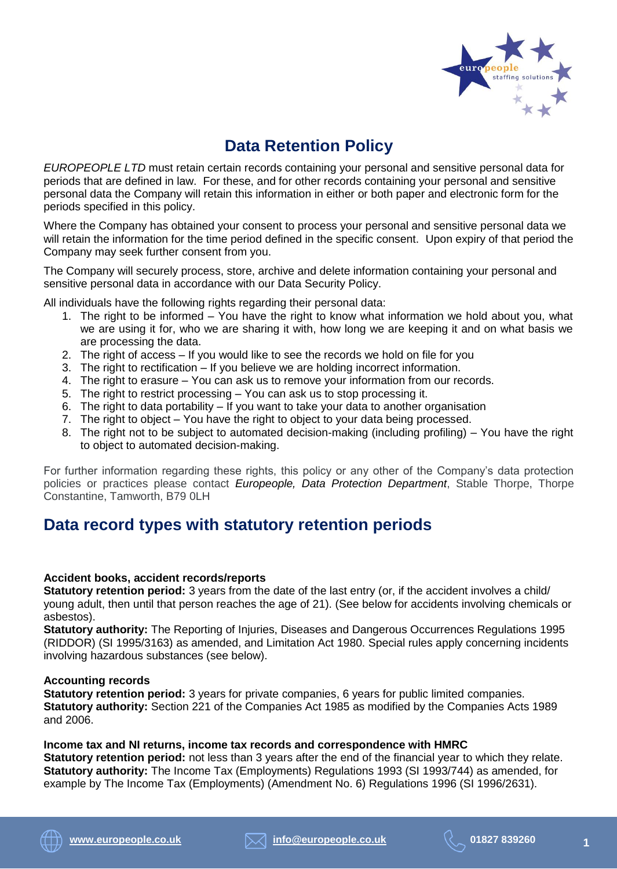

# **[Data Retention Policy](https://www.cipd.co.uk/knowledge/fundamentals/people/hr/keeping-records-factsheet)**

*EUROPEOPLE LTD* must retain certain records containing your personal and sensitive personal data for periods that are defined in law. For these, and for other records containing your personal and sensitive personal data the Company will retain this information in either or both paper and electronic form for the periods specified in this policy.

Where the Company has obtained your consent to process your personal and sensitive personal data we will retain the information for the time period defined in the specific consent. Upon expiry of that period the Company may seek further consent from you.

The Company will securely process, store, archive and delete information containing your personal and sensitive personal data in accordance with our Data Security Policy.

All individuals have the following rights regarding their personal data:

- 1. The right to be informed You have the right to know what information we hold about you, what we are using it for, who we are sharing it with, how long we are keeping it and on what basis we are processing the data.
- 2. The right of access If you would like to see the records we hold on file for you
- 3. The right to rectification If you believe we are holding incorrect information.
- 4. The right to erasure You can ask us to remove your information from our records.
- 5. The right to restrict processing You can ask us to stop processing it.
- 6. The right to data portability If you want to take your data to another organisation
- 7. The right to object You have the right to object to your data being processed.
- 8. The right not to be subject to automated decision-making (including profiling) You have the right to object to automated decision-making.

For further information regarding these rights, this policy or any other of the Company's data protection policies or practices please contact *Europeople, Data Protection Department*, Stable Thorpe, Thorpe Constantine, Tamworth, B79 0LH

### **Data record types with [statutory retention periods](https://www.cipd.co.uk/knowledge/fundamentals/people/hr/keeping-records-factsheet)**

#### **Accident books, accident records/reports**

**Statutory retention period:** 3 years from the date of the last entry (or, if the accident involves a child/ young adult, then until that person reaches the age of 21). (See below for accidents involving chemicals or asbestos).

**Statutory authority:** The Reporting of Injuries, Diseases and Dangerous Occurrences Regulations 1995 (RIDDOR) (SI 1995/3163) as amended, and Limitation Act 1980. Special rules apply concerning incidents involving hazardous substances (see below).

#### **Accounting records**

**Statutory retention period:** 3 years for private companies, 6 years for public limited companies. **Statutory authority:** Section 221 of the Companies Act 1985 as modified by the Companies Acts 1989 and 2006.

**Income tax and NI returns, income tax records and correspondence with HMRC**

**Statutory retention period:** not less than 3 years after the end of the financial year to which they relate. **Statutory authority:** The Income Tax (Employments) Regulations 1993 (SI 1993/744) as amended, for example by The Income Tax (Employments) (Amendment No. 6) Regulations 1996 (SI 1996/2631).



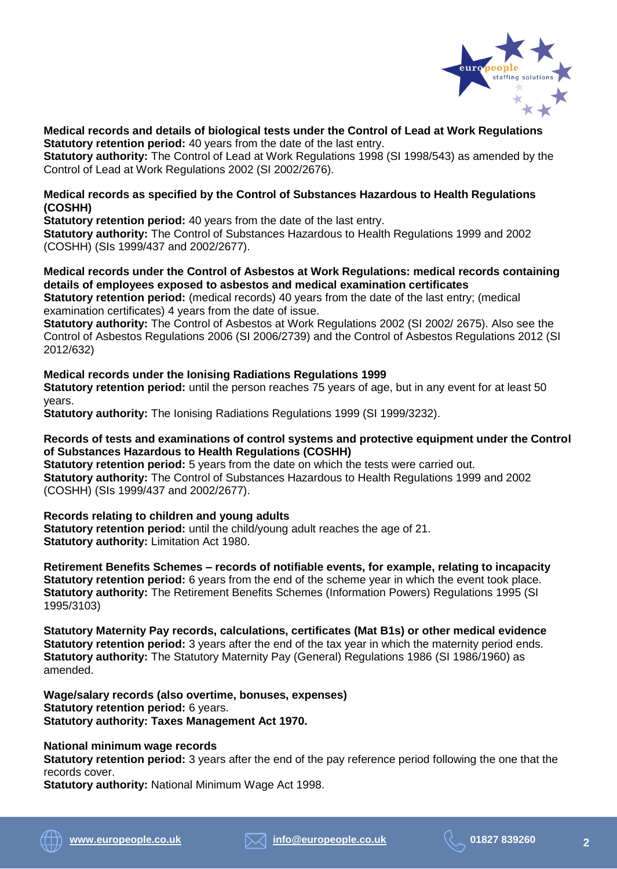

**Medical records and details of biological tests under the Control of Lead at Work Regulations Statutory retention period:** 40 years from the date of the last entry.

**Statutory authority:** The Control of Lead at Work Regulations 1998 (SI 1998/543) as amended by the Control of Lead at Work Regulations 2002 (SI 2002/2676).

#### **Medical records as specified by the Control of Substances Hazardous to Health Regulations (COSHH)**

**Statutory retention period:** 40 years from the date of the last entry.

**Statutory authority:** The Control of Substances Hazardous to Health Regulations 1999 and 2002 (COSHH) (SIs 1999/437 and 2002/2677).

#### **Medical records under the Control of Asbestos at Work Regulations: medical records containing details of employees exposed to asbestos and medical examination certificates**

**Statutory retention period:** (medical records) 40 years from the date of the last entry; (medical examination certificates) 4 years from the date of issue.

**Statutory authority:** The Control of Asbestos at Work Regulations 2002 (SI 2002/ 2675). Also see the Control of Asbestos Regulations 2006 (SI 2006/2739) and the Control of Asbestos Regulations 2012 (SI 2012/632)

**Medical records under the Ionising Radiations Regulations 1999 Statutory retention period:** until the person reaches 75 years of age, but in any event for at least 50 years.

**Statutory authority:** The Ionising Radiations Regulations 1999 (SI 1999/3232).

#### **Records of tests and examinations of control systems and protective equipment under the Control of Substances Hazardous to Health Regulations (COSHH)**

**Statutory retention period:** 5 years from the date on which the tests were carried out. **Statutory authority:** The Control of Substances Hazardous to Health Regulations 1999 and 2002 (COSHH) (SIs 1999/437 and 2002/2677).

#### **Records relating to children and young adults**

**Statutory retention period:** until the child/young adult reaches the age of 21. **Statutory authority:** Limitation Act 1980.

**Retirement Benefits Schemes – records of notifiable events, for example, relating to incapacity Statutory retention period:** 6 years from the end of the scheme year in which the event took place. **Statutory authority:** The Retirement Benefits Schemes (Information Powers) Regulations 1995 (SI 1995/3103)

**Statutory Maternity Pay records, calculations, certificates (Mat B1s) or other medical evidence Statutory retention period:** 3 years after the end of the tax year in which the maternity period ends. **Statutory authority:** The Statutory Maternity Pay (General) Regulations 1986 (SI 1986/1960) as amended.

**Wage/salary records (also overtime, bonuses, expenses) Statutory retention period:** 6 years. **Statutory authority: Taxes Management Act 1970.**

#### **National minimum wage records**

**Statutory retention period:** 3 years after the end of the pay reference period following the one that the records cover.

**Statutory authority:** National Minimum Wage Act 1998.



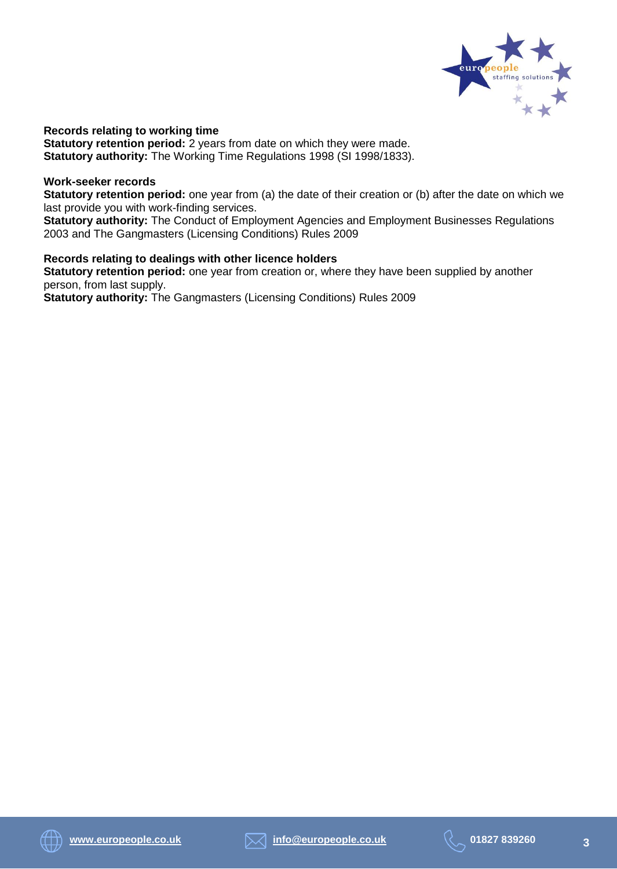

**Records relating to working time Statutory retention period:** 2 years from date on which they were made. **Statutory authority:** The Working Time Regulations 1998 (SI 1998/1833).

#### **Work-seeker records**

**Statutory retention period:** one year from (a) the date of their creation or (b) after the date on which we last provide you with work-finding services.

**Statutory authority:** The Conduct of Employment Agencies and Employment Businesses Regulations 2003 and The Gangmasters (Licensing Conditions) Rules 2009

#### **Records relating to dealings with other licence holders**

**Statutory retention period:** one year from creation or, where they have been supplied by another person, from last supply. **Statutory authority:** The Gangmasters (Licensing Conditions) Rules 2009